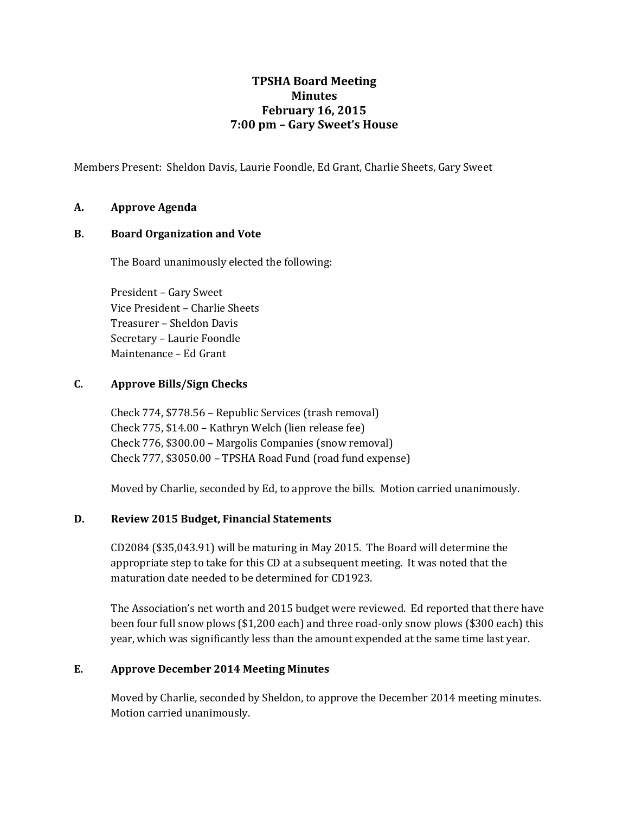# **TPSHA Board Meeting Minutes February 16, 2015 7:00 pm – Gary Sweet's House**

Members Present: Sheldon Davis, Laurie Foondle, Ed Grant, Charlie Sheets, Gary Sweet

# **A. Approve Agenda**

### **B. Board Organization and Vote**

The Board unanimously elected the following:

President – Gary Sweet Vice President – Charlie Sheets Treasurer – Sheldon Davis Secretary – Laurie Foondle Maintenance – Ed Grant

# **C. Approve Bills/Sign Checks**

Check 774, \$778.56 – Republic Services (trash removal) Check 775, \$14.00 – Kathryn Welch (lien release fee) Check 776, \$300.00 – Margolis Companies (snow removal) Check 777, \$3050.00 – TPSHA Road Fund (road fund expense)

Moved by Charlie, seconded by Ed, to approve the bills. Motion carried unanimously.

#### **D. Review 2015 Budget, Financial Statements**

CD2084 (\$35,043.91) will be maturing in May 2015. The Board will determine the appropriate step to take for this CD at a subsequent meeting. It was noted that the maturation date needed to be determined for CD1923.

The Association's net worth and 2015 budget were reviewed. Ed reported that there have been four full snow plows (\$1,200 each) and three road-only snow plows (\$300 each) this year, which was significantly less than the amount expended at the same time last year.

#### **E. Approve December 2014 Meeting Minutes**

Moved by Charlie, seconded by Sheldon, to approve the December 2014 meeting minutes. Motion carried unanimously.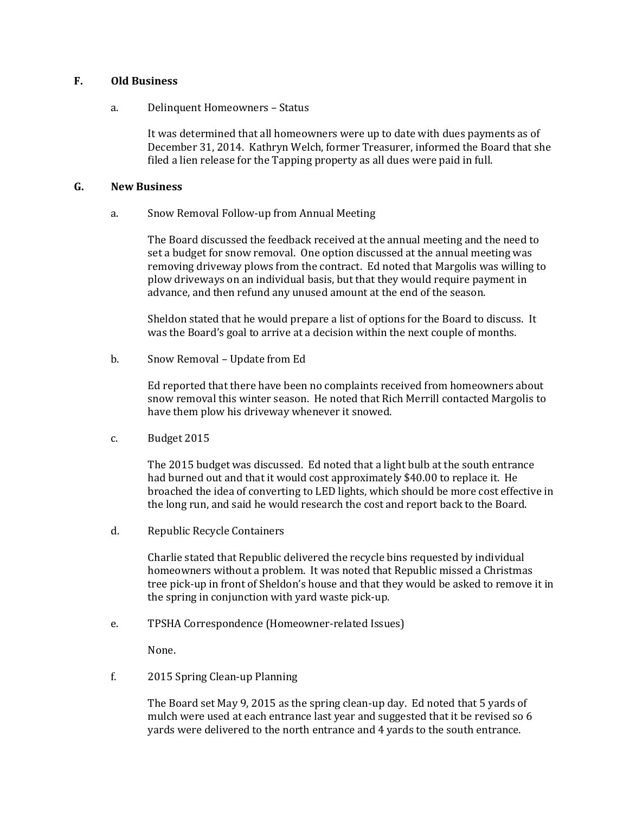# **F. Old Business**

a. Delinquent Homeowners – Status

It was determined that all homeowners were up to date with dues payments as of December 31, 2014. Kathryn Welch, former Treasurer, informed the Board that she filed a lien release for the Tapping property as all dues were paid in full.

#### **G. New Business**

a. Snow Removal Follow-up from Annual Meeting

The Board discussed the feedback received at the annual meeting and the need to set a budget for snow removal. One option discussed at the annual meeting was removing driveway plows from the contract. Ed noted that Margolis was willing to plow driveways on an individual basis, but that they would require payment in advance, and then refund any unused amount at the end of the season.

Sheldon stated that he would prepare a list of options for the Board to discuss. It was the Board's goal to arrive at a decision within the next couple of months.

b. Snow Removal – Update from Ed

Ed reported that there have been no complaints received from homeowners about snow removal this winter season. He noted that Rich Merrill contacted Margolis to have them plow his driveway whenever it snowed.

c. Budget 2015

The 2015 budget was discussed. Ed noted that a light bulb at the south entrance had burned out and that it would cost approximately \$40.00 to replace it. He broached the idea of converting to LED lights, which should be more cost effective in the long run, and said he would research the cost and report back to the Board.

d. Republic Recycle Containers

Charlie stated that Republic delivered the recycle bins requested by individual homeowners without a problem. It was noted that Republic missed a Christmas tree pick-up in front of Sheldon's house and that they would be asked to remove it in the spring in conjunction with yard waste pick-up.

e. TPSHA Correspondence (Homeowner-related Issues)

None.

f. 2015 Spring Clean-up Planning

The Board set May 9, 2015 as the spring clean-up day. Ed noted that 5 yards of mulch were used at each entrance last year and suggested that it be revised so 6 yards were delivered to the north entrance and 4 yards to the south entrance.